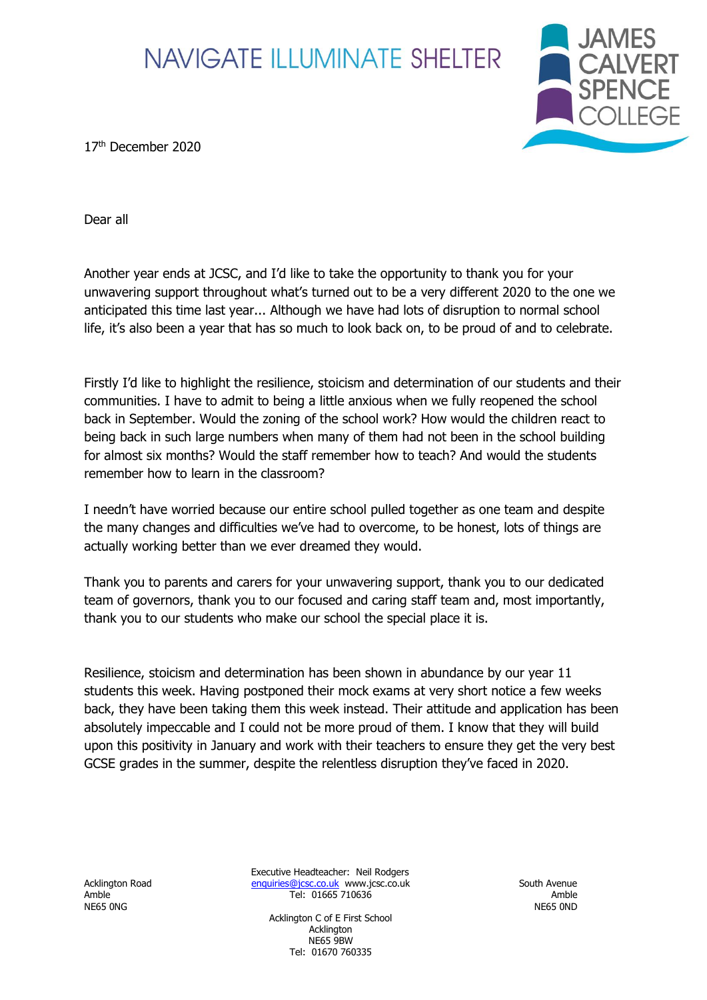

17<sup>th</sup> December 2020

Dear all

Another year ends at JCSC, and I'd like to take the opportunity to thank you for your unwavering support throughout what's turned out to be a very different 2020 to the one we anticipated this time last year... Although we have had lots of disruption to normal school life, it's also been a year that has so much to look back on, to be proud of and to celebrate.

Firstly I'd like to highlight the resilience, stoicism and determination of our students and their communities. I have to admit to being a little anxious when we fully reopened the school back in September. Would the zoning of the school work? How would the children react to being back in such large numbers when many of them had not been in the school building for almost six months? Would the staff remember how to teach? And would the students remember how to learn in the classroom?

I needn't have worried because our entire school pulled together as one team and despite the many changes and difficulties we've had to overcome, to be honest, lots of things are actually working better than we ever dreamed they would.

Thank you to parents and carers for your unwavering support, thank you to our dedicated team of governors, thank you to our focused and caring staff team and, most importantly, thank you to our students who make our school the special place it is.

Resilience, stoicism and determination has been shown in abundance by our year 11 students this week. Having postponed their mock exams at very short notice a few weeks back, they have been taking them this week instead. Their attitude and application has been absolutely impeccable and I could not be more proud of them. I know that they will build upon this positivity in January and work with their teachers to ensure they get the very best GCSE grades in the summer, despite the relentless disruption they've faced in 2020.

NE65 0NG NE65 0ND

Executive Headteacher: Neil Rodgers Acklington Road [enquiries@jcsc.co.uk](mailto:enquiries@jcsc.co.uk) www.jcsc.co.uk South Avenue Amble Tel: 01665 710636 Amble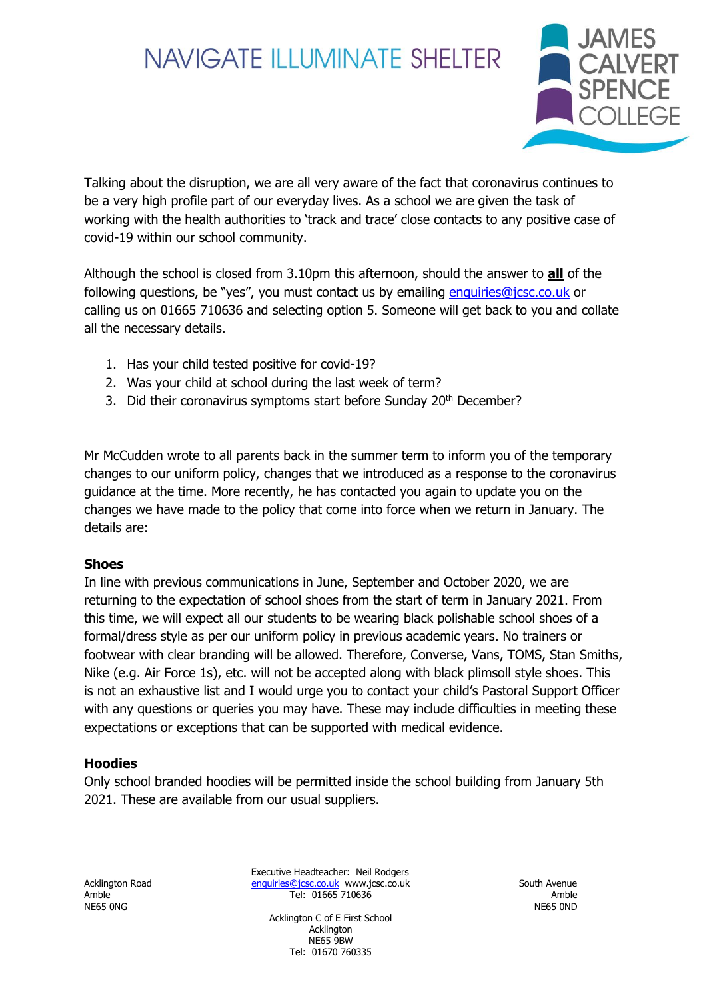

Talking about the disruption, we are all very aware of the fact that coronavirus continues to be a very high profile part of our everyday lives. As a school we are given the task of working with the health authorities to 'track and trace' close contacts to any positive case of covid-19 within our school community.

Although the school is closed from 3.10pm this afternoon, should the answer to **all** of the following questions, be "yes", you must contact us by emailing [enquiries@jcsc.co.uk](mailto:enquiries@jcsc.co.uk) or calling us on 01665 710636 and selecting option 5. Someone will get back to you and collate all the necessary details.

- 1. Has your child tested positive for covid-19?
- 2. Was your child at school during the last week of term?
- 3. Did their coronavirus symptoms start before Sunday 20<sup>th</sup> December?

Mr McCudden wrote to all parents back in the summer term to inform you of the temporary changes to our uniform policy, changes that we introduced as a response to the coronavirus guidance at the time. More recently, he has contacted you again to update you on the changes we have made to the policy that come into force when we return in January. The details are:

#### **Shoes**

In line with previous communications in June, September and October 2020, we are returning to the expectation of school shoes from the start of term in January 2021. From this time, we will expect all our students to be wearing black polishable school shoes of a formal/dress style as per our uniform policy in previous academic years. No trainers or footwear with clear branding will be allowed. Therefore, Converse, Vans, TOMS, Stan Smiths, Nike (e.g. Air Force 1s), etc. will not be accepted along with black plimsoll style shoes. This is not an exhaustive list and I would urge you to contact your child's Pastoral Support Officer with any questions or queries you may have. These may include difficulties in meeting these expectations or exceptions that can be supported with medical evidence.

#### **Hoodies**

Only school branded hoodies will be permitted inside the school building from January 5th 2021. These are available from our usual suppliers.

NE65 0NG NE65 0ND

Executive Headteacher: Neil Rodgers Acklington Road [enquiries@jcsc.co.uk](mailto:enquiries@jcsc.co.uk) www.jcsc.co.uk South Avenue Amble Tel: 01665 710636 Amble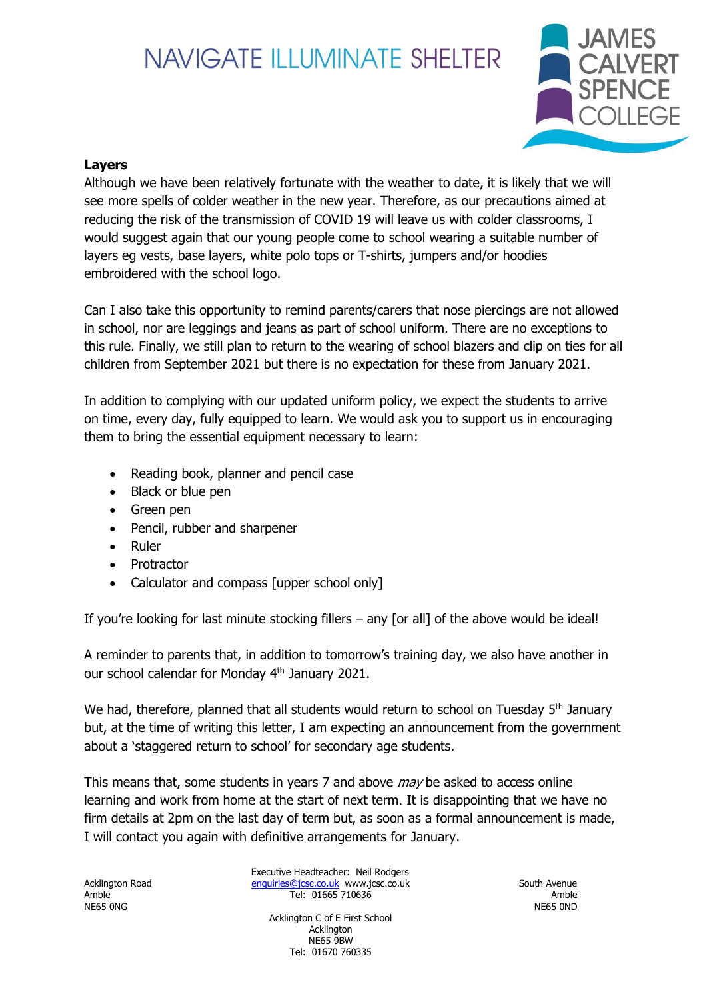

### **Layers**

Although we have been relatively fortunate with the weather to date, it is likely that we will see more spells of colder weather in the new year. Therefore, as our precautions aimed at reducing the risk of the transmission of COVID 19 will leave us with colder classrooms, I would suggest again that our young people come to school wearing a suitable number of layers eg vests, base layers, white polo tops or T-shirts, jumpers and/or hoodies embroidered with the school logo.

Can I also take this opportunity to remind parents/carers that nose piercings are not allowed in school, nor are leggings and jeans as part of school uniform. There are no exceptions to this rule. Finally, we still plan to return to the wearing of school blazers and clip on ties for all children from September 2021 but there is no expectation for these from January 2021.

In addition to complying with our updated uniform policy, we expect the students to arrive on time, every day, fully equipped to learn. We would ask you to support us in encouraging them to bring the essential equipment necessary to learn:

- Reading book, planner and pencil case
- Black or blue pen
- Green pen
- Pencil, rubber and sharpener
- Ruler
- **Protractor**
- Calculator and compass [upper school only]

If you're looking for last minute stocking fillers  $-$  any [or all] of the above would be ideal!

A reminder to parents that, in addition to tomorrow's training day, we also have another in our school calendar for Monday 4<sup>th</sup> January 2021.

We had, therefore, planned that all students would return to school on Tuesday 5<sup>th</sup> January but, at the time of writing this letter, I am expecting an announcement from the government about a 'staggered return to school' for secondary age students.

This means that, some students in years 7 and above *may* be asked to access online learning and work from home at the start of next term. It is disappointing that we have no firm details at 2pm on the last day of term but, as soon as a formal announcement is made, I will contact you again with definitive arrangements for January.

NE65 0NG NE65 0ND

Executive Headteacher: Neil Rodgers Acklington Road [enquiries@jcsc.co.uk](mailto:enquiries@jcsc.co.uk) www.jcsc.co.uk South Avenue Amble Tel: 01665 710636 Amble